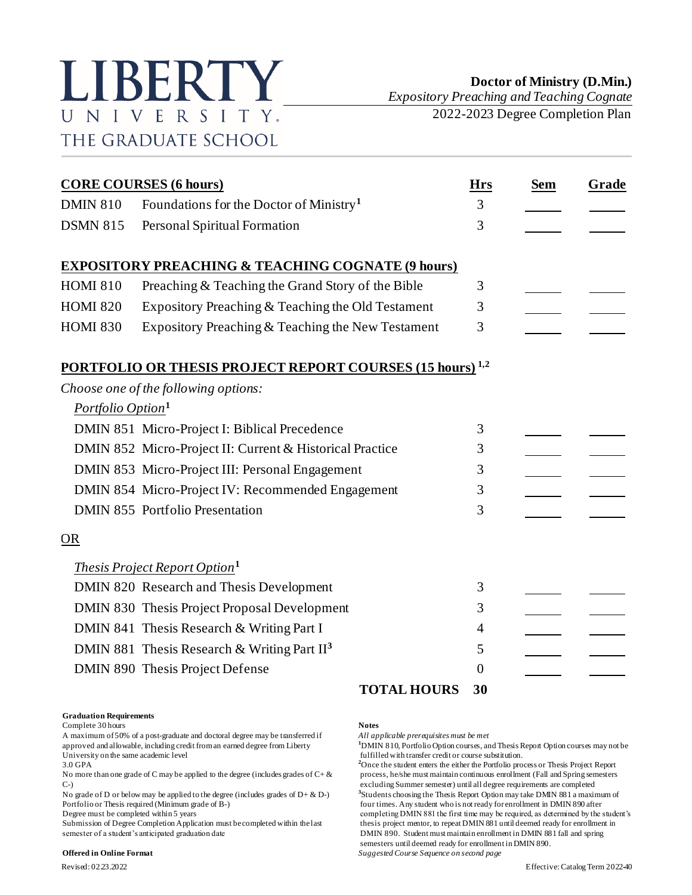

*Expository Preaching and Teaching Cognate* 2022-2023 Degree Completion Plan

| <b>CORE COURSES (6 hours)</b> |                                                                             |    | <b>Sem</b> | Grade |
|-------------------------------|-----------------------------------------------------------------------------|----|------------|-------|
| <b>DMIN 810</b>               | Foundations for the Doctor of Ministry <sup>1</sup>                         | 3  |            |       |
| <b>DSMN 815</b>               | Personal Spiritual Formation                                                | 3  |            |       |
|                               | <b>EXPOSITORY PREACHING &amp; TEACHING COGNATE (9 hours)</b>                |    |            |       |
| <b>HOMI 810</b>               | Preaching & Teaching the Grand Story of the Bible                           | 3  |            |       |
| <b>HOMI 820</b>               | Expository Preaching & Teaching the Old Testament                           | 3  |            |       |
| <b>HOMI 830</b>               | Expository Preaching & Teaching the New Testament                           | 3  |            |       |
|                               | <b>PORTFOLIO OR THESIS PROJECT REPORT COURSES (15 hours)</b> <sup>1,2</sup> |    |            |       |
|                               | Choose one of the following options:                                        |    |            |       |
| Portfolio Option <sup>1</sup> |                                                                             |    |            |       |
|                               | DMIN 851 Micro-Project I: Biblical Precedence                               | 3  |            |       |
|                               | DMIN 852 Micro-Project II: Current & Historical Practice                    | 3  |            |       |
|                               | DMIN 853 Micro-Project III: Personal Engagement                             | 3  |            |       |
|                               | DMIN 854 Micro-Project IV: Recommended Engagement                           | 3  |            |       |
|                               | <b>DMIN 855 Portfolio Presentation</b>                                      | 3  |            |       |
| <b>OR</b>                     |                                                                             |    |            |       |
|                               | <i>Thesis Project Report Option</i> <sup>1</sup>                            |    |            |       |
|                               | DMIN 820 Research and Thesis Development                                    | 3  |            |       |
|                               | DMIN 830 Thesis Project Proposal Development                                | 3  |            |       |
|                               | DMIN 841 Thesis Research & Writing Part I                                   | 4  |            |       |
|                               | DMIN 881 Thesis Research & Writing Part $II3$                               | 5  |            |       |
|                               | DMIN 890 Thesis Project Defense                                             | 0  |            |       |
|                               | <b>TOTAL HOURS</b>                                                          | 30 |            |       |

## **Graduation Requirements**

Complete 30 hours **Notes**

A maximum of 50% of a post-graduate and doctoral degree may be transferred if *All applicable prerequisites must be met* approved and allowable, including credit from an earned degree from Liberty **1**DMIN 810, Portfolio Option courses, and Thesis Report Option courses may not be fulfilled with transfer credit or course substitution. University on the same academic level<br>
3.0 GPA<br>
<sup>2</sup>Once the student enters the either the Portfolio pro-

No more than one grade of C may be applied to the degree (includes grades of  $C + \&$  process, he/she must maintain continuous enrollment (Fall and Spring semesters

No grade of D or below may be applied to the degree (includes grades of  $D + \& D$ -)

semester of a student's anticipated graduation date DMIN 890. Student must maintain enrollment in DMIN 881 fall and spring

## **Offered in Online Format** *Suggested Course Sequence on second page*

<sup>2</sup>Once the student enters the either the Portfolio process or Thesis Project Report C-) excluding Summer semester) until all degree requirements are completed **3** Students choosing the Thesis Report Option may take DMIN 881 a maximum of Portfolio or Thesis required (Minimum grade of B-) four times. Any student who is not ready for enrollment in DMIN 890 after<br>Degree must be completed within 5 years for example times. Any student who is not ready for enrol completing DMIN 881 the first time may be required, as determined by the student's Submission of Degree Completion Application must be completed within the last thesis project mentor, to repeat DMIN 881 until deemed ready for enrollment in semesters until deemed ready for enrollment in DMIN 890.

Revised: 02.23.2022 Effective: Catalog Term 2022-40